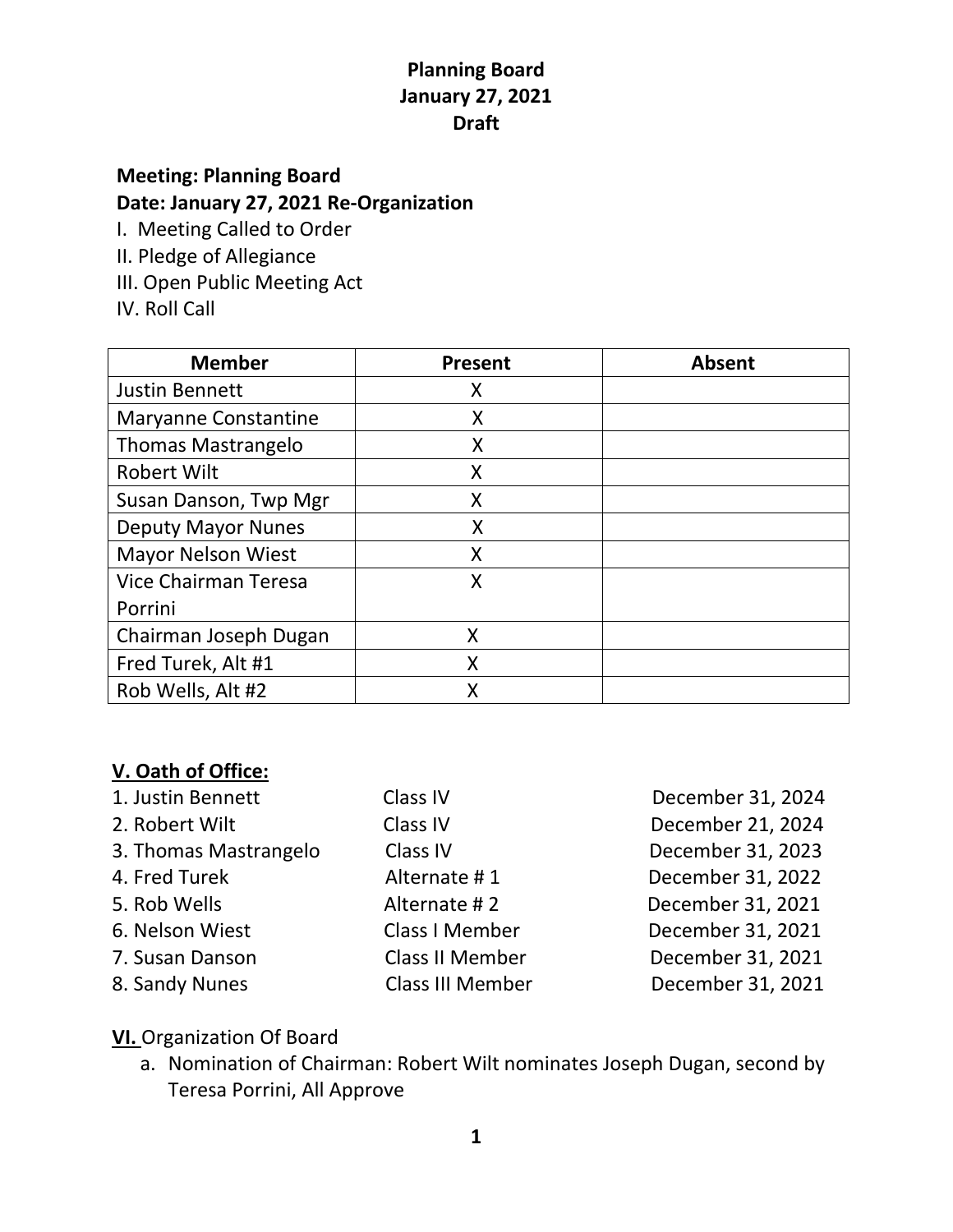## **Planning Board January 27, 2021 Draft**

# **Meeting: Planning Board Date: January 27, 2021 Re-Organization**

I. Meeting Called to Order

- II. Pledge of Allegiance
- III. Open Public Meeting Act
- IV. Roll Call

| <b>Member</b>               | <b>Present</b> | <b>Absent</b> |
|-----------------------------|----------------|---------------|
| <b>Justin Bennett</b>       | Χ              |               |
| <b>Maryanne Constantine</b> | X              |               |
| <b>Thomas Mastrangelo</b>   | X              |               |
| <b>Robert Wilt</b>          | Χ              |               |
| Susan Danson, Twp Mgr       | Χ              |               |
| <b>Deputy Mayor Nunes</b>   | X              |               |
| <b>Mayor Nelson Wiest</b>   | Χ              |               |
| Vice Chairman Teresa        | X              |               |
| Porrini                     |                |               |
| Chairman Joseph Dugan       | X              |               |
| Fred Turek, Alt #1          | X              |               |
| Rob Wells, Alt #2           | Χ              |               |

#### **V. Oath of Office:**

| 1. Justin Bennett     | Class IV                | December 31, 2024 |
|-----------------------|-------------------------|-------------------|
| 2. Robert Wilt        | Class IV                | December 21, 2024 |
| 3. Thomas Mastrangelo | Class IV                | December 31, 2023 |
| 4. Fred Turek         | Alternate #1            | December 31, 2022 |
| 5. Rob Wells          | Alternate #2            | December 31, 2021 |
| 6. Nelson Wiest       | Class I Member          | December 31, 2021 |
| 7. Susan Danson       | <b>Class II Member</b>  | December 31, 2021 |
| 8. Sandy Nunes        | <b>Class III Member</b> | December 31, 2021 |

- **VI.** Organization Of Board
	- a. Nomination of Chairman: Robert Wilt nominates Joseph Dugan, second by Teresa Porrini, All Approve